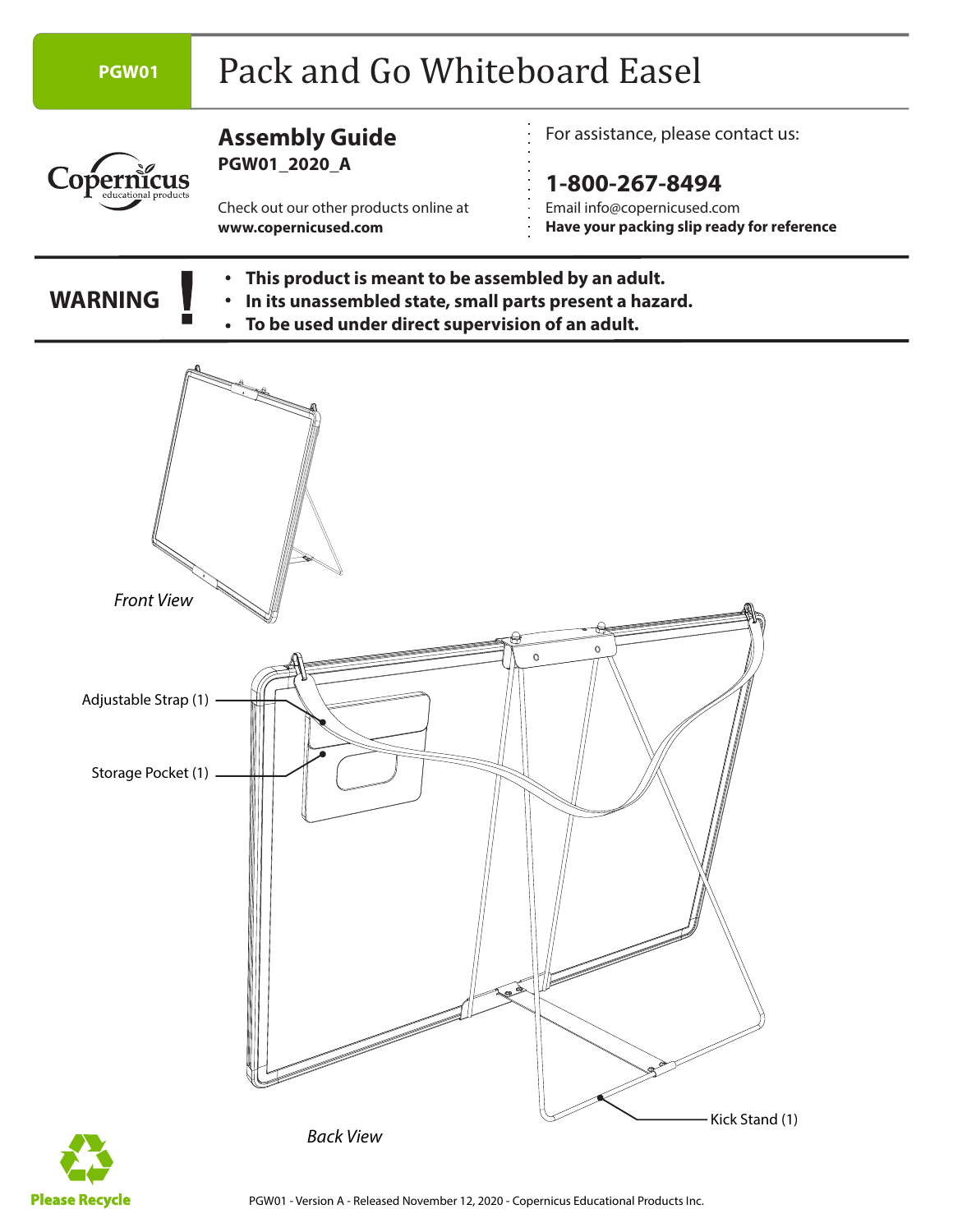

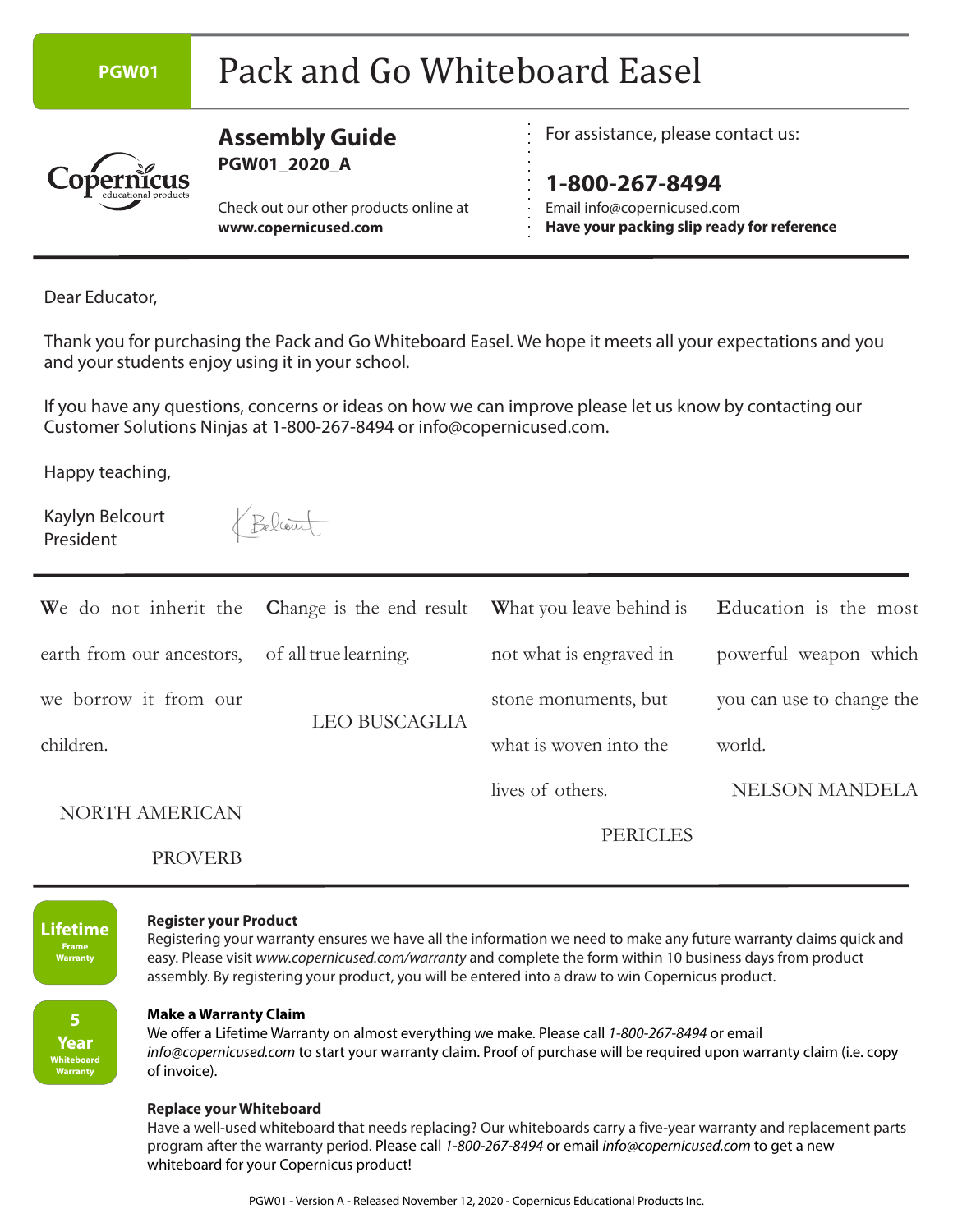#### PGW01 Pack and Go Whiteboard Easel **Assembly Guide** For assistance, please contact us: **PGW01\_2020\_A** opernicus **1-800-267-8494** Email info@copernicused.com Check out our other products online at **www.copernicused.com Have your packing slip ready for reference**

Dear Educator,

Thank you for purchasing the Pack and Go Whiteboard Easel. We hope it meets all your expectations and you and your students enjoy using it in your school.

If you have any questions, concerns or ideas on how we can improve please let us know by contacting our Customer Solutions Ninjas at 1-800-267-8494 or info@copernicused.com.

Happy teaching,

Kaylyn Belcourt President

Beliaut

|                           | We do not inherit the Change is the end result What you leave behind is Education is the most |                         |                           |
|---------------------------|-----------------------------------------------------------------------------------------------|-------------------------|---------------------------|
| earth from our ancestors, | of all true learning.                                                                         | not what is engraved in | powerful weapon which     |
| we borrow it from our     | <b>LEO BUSCAGLIA</b>                                                                          | stone monuments, but    | you can use to change the |
| children.                 |                                                                                               | what is woven into the  | world.                    |
|                           |                                                                                               | lives of others.        | <b>NELSON MANDELA</b>     |
| <b>NORTH AMERICAN</b>     |                                                                                               | <b>PERICLES</b>         |                           |
| <b>PROVERB</b>            |                                                                                               |                         |                           |



#### **Register your Product**

Registering your warranty ensures we have all the information we need to make any future warranty claims quick and easy. Please visit www.copernicused.com/warranty and complete the form within 10 business days from product assembly. By registering your product, you will be entered into a draw to win Copernicus product.

**5 Year Whiteboard Warranty**

#### **Make a Warranty Claim**

We offer a Lifetime Warranty on almost everything we make. Please call 1-800-267-8494 or email info@copernicused.com to start your warranty claim. Proof of purchase will be required upon warranty claim (i.e. copy of invoice).

#### **Replace your Whiteboard**

Have a well-used whiteboard that needs replacing? Our whiteboards carry a five-year warranty and replacement parts program after the warranty period. Please call 1-800-267-8494 or email info@copernicused.com to get a new whiteboard for your Copernicus product!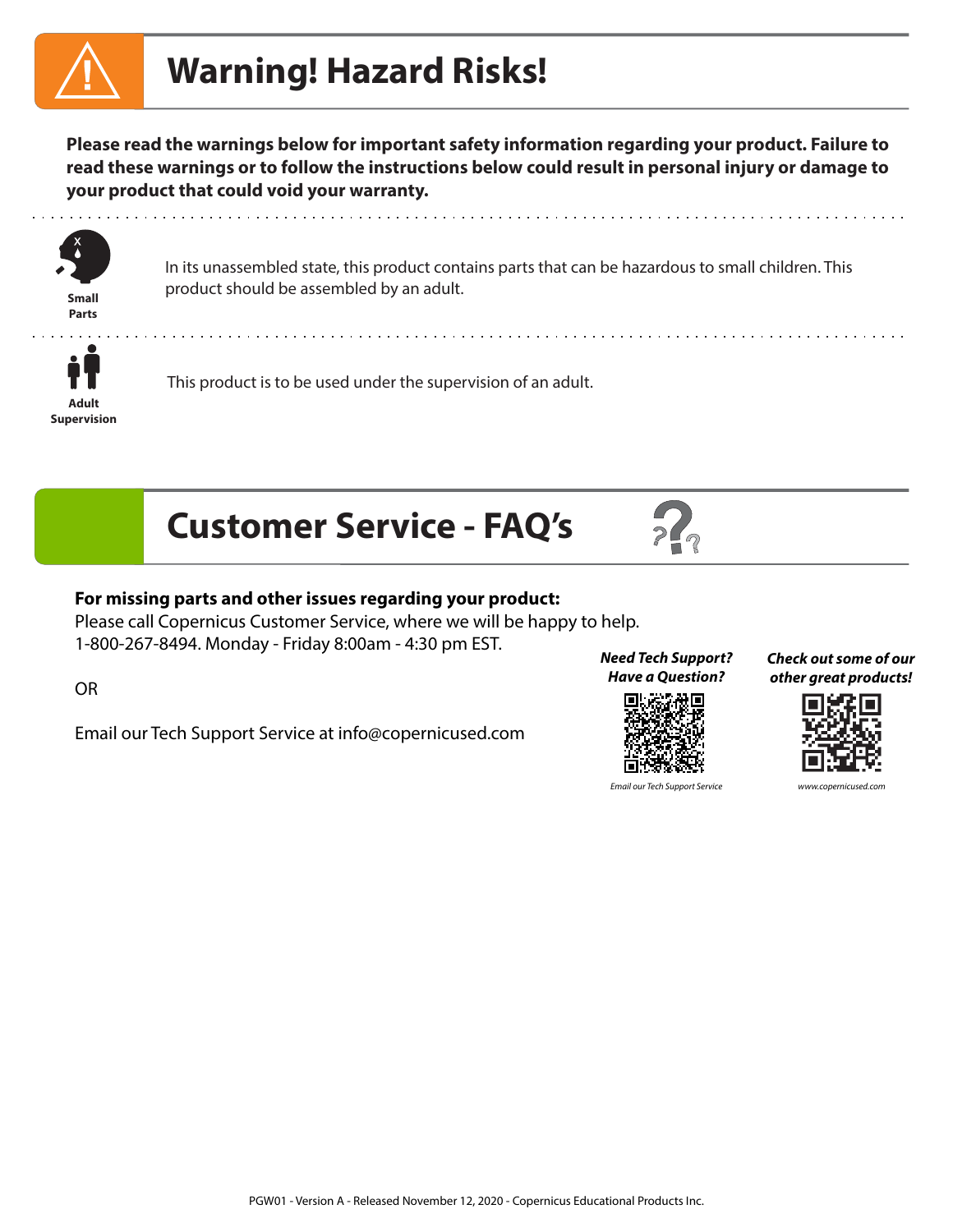# **Warning! Hazard Risks!**

**Please read the warnings below for important safety information regarding your product. Failure to read these warnings or to follow the instructions below could result in personal injury or damage to your product that could void your warranty.** 



**Parts**

In its unassembled state, this product contains parts that can be hazardous to small children. This product should be assembled by an adult. **Small**



This product is to be used under the supervision of an adult.





#### **For missing parts and other issues regarding your product:**

Please call Copernicus Customer Service, where we will be happy to help. 1-800-267-8494. Monday - Friday 8:00am - 4:30 pm EST.

OR

Email our Tech Support Service at info@copernicused.com

**Need Tech Support? Have a Question?**



**Check out some of our other great products!**



Email our Tech Support Service www.copernicus